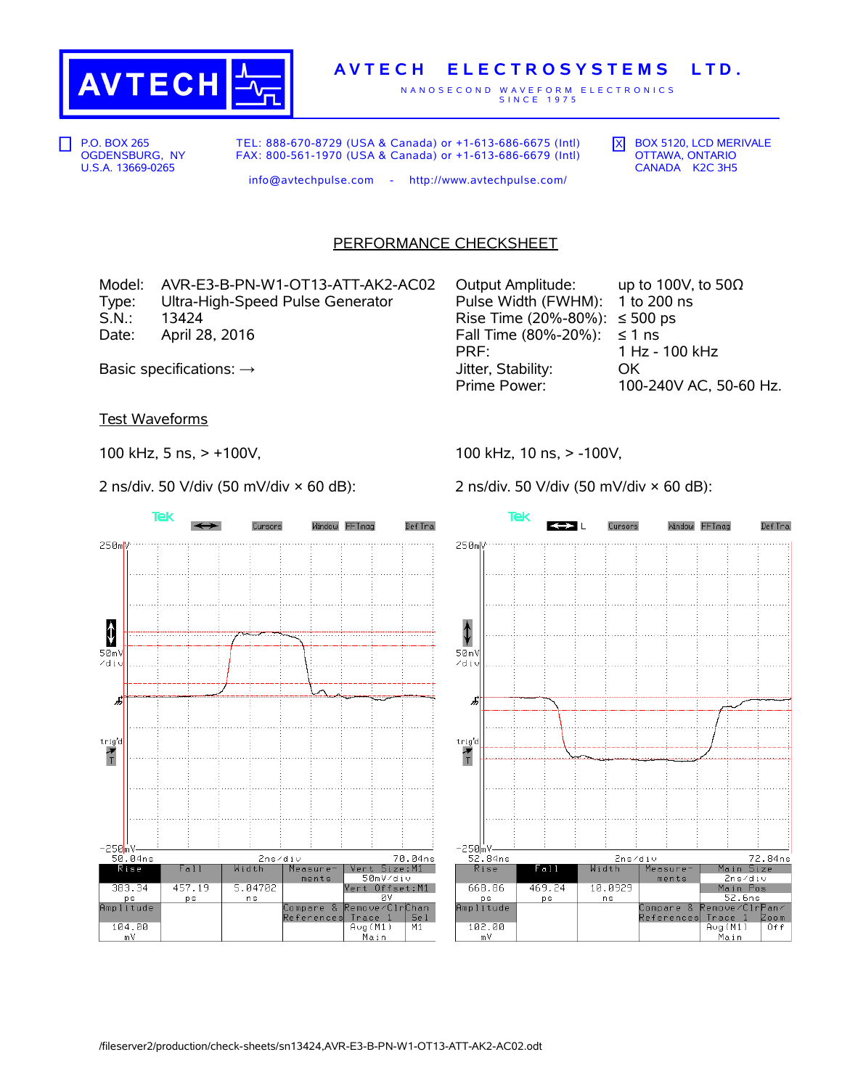

## **A V T E C H E L E C T R O S Y S T E M S L T D .**

N A N O S E C O N D W A V E F O R M E L E C T R O N I C S S I N C E 1 9 7 5

P.O. BOX 265 OGDENSBURG, NY U.S.A. 13669-0265

TEL: 888-670-8729 (USA & Canada) or +1-613-686-6675 (Intl) FAX: 800-561-1970 (USA & Canada) or +1-613-686-6679 (Intl)  $\overline{X}$  BOX 5120, LCD MERIVALE OTTAWA, ONTARIO CANADA K2C 3H5

info@avtechpulse.com - http://www.avtechpulse.com/

## PERFORMANCE CHECKSHEET

Model: AVR-E3-B-PN-W1-OT13-ATT-AK2-AC02 Output Amplitude: up to 100V, to 50Ω Type: Ultra-High-Speed Pulse Generator Pulse Width (FWHM): 1 to 200 ns<br>S.N.: 13424 Pulse S.N.: 13424  $13424$  Rise Time (20%-80%): ≤ 500 ps Date: April 28, 2016  $\blacksquare$  Fall Time (80%-20%): ≤ 1 ns

PRF: 1 Hz - 100 kHz Basic specifications: → Jitter, Stability: OK Prime Power: 100-240V AC, 50-60 Hz.

Test Waveforms

100 kHz, 5 ns, > +100V,

2 ns/div. 50 V/div (50 mV/div × 60 dB):

Tek Cursors Window FFTmag Def Tra 250mV  $\color{red} \color{black} \pmb{\downarrow}$  $50mV$ zdiu J,  $trig'd$  $\frac{1}{T}$ —250mV<br>50.04ns 70.04ns 2ns/div  $R$ ise Fall Width Measure Size:M1 Vert 50mV/div ments Vert Offset:M1 5.04702 383.34 457.19 **ps** ns ø٧ ps<br>Amplitude Compare &<br>References emove/Clr lhan  $Trac{e}{\text{Avg}(M1)}$ Se 1 104.00  $M1$  $\frac{1}{m}$ Main

100 kHz, 10 ns, > -100V,

2 ns/div. 50 V/div (50 mV/div × 60 dB):

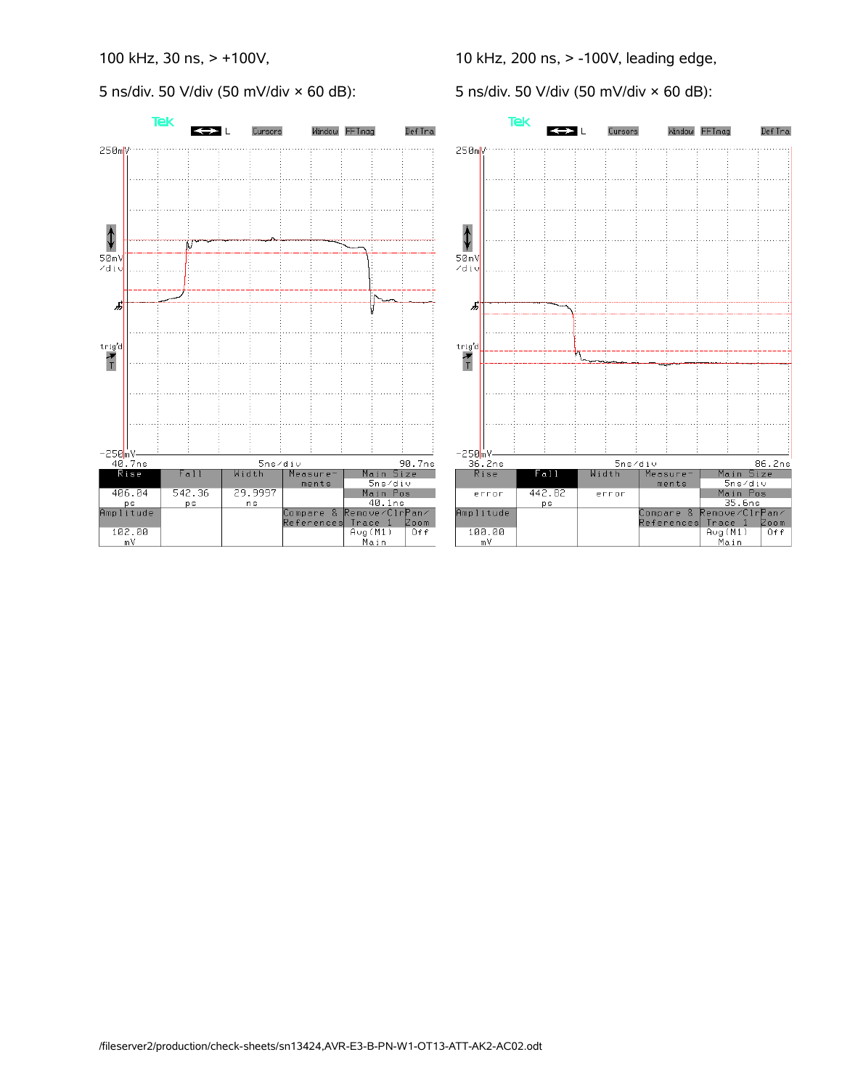5 ns/div. 50 V/div (50 mV/div × 60 dB):

10 kHz, 200 ns, > -100V, leading edge,

5 ns/div. 50 V/div (50 mV/div × 60 dB):